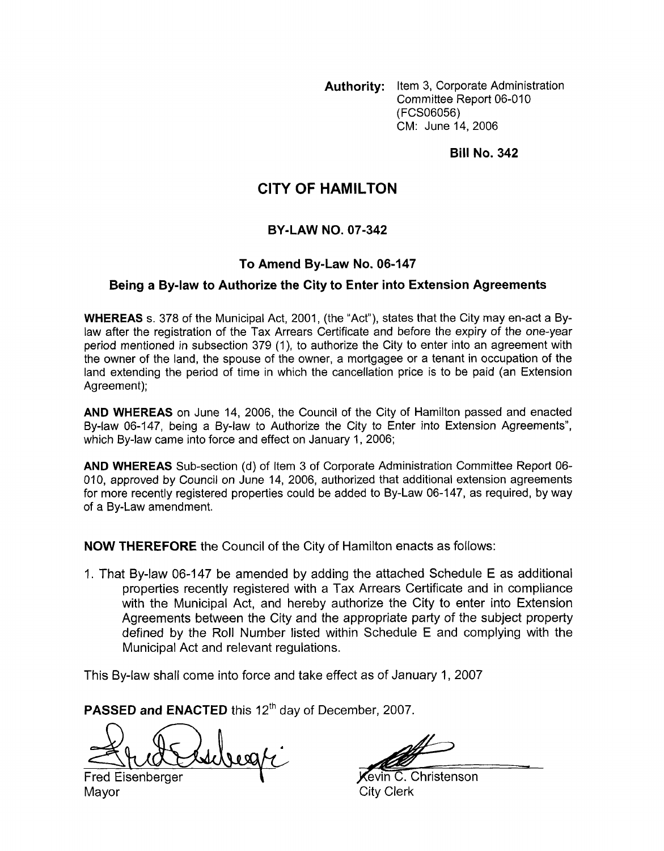**Authority:** Item 3, Corporate Administration Committee Report 06-010 **(FCSO6056)**  CM: June **14.2006** 

**Bill No. 342** 

# **CITY OF HAMILTON**

## **BY-LAW NO. 07-342**

## **To Amend By-Law No. 06-147**

### **Being a By-law to Authorize the City to Enter into Extension Agreements**

**WHEREAS** s. **378** of the Municipal Act, **2001,** (the "Act"), states that the City may en-act a Bylaw after the registration of the Tax Arrears Certificate and before the expiry *of* the one-year period mentioned in subsection **379 (I),** to authorize the City to enter into an agreement with the owner of the land, the spouse of the owner, a mortgagee or a tenant in occupation of the land extending the period of time in which the cancellation price is to be paid (an Extension Agreement);

**AND WHEREAS** on June **14, 2006,** the Council of the City of Hamilton passed and enacted By-law **06-147,** being a By-law to Authorize the City *to* Enter into Extension Agreements", which By-law came into force and effect on January **1, 2006;** 

**AND WHEREAS** Sub-section (d) of Item 3 of Corporate Administration Committee Report 06- 010, approved by Council on June 14, 2006, authorized that additional extension agreements for more recently registered properties could be added to By-Law **06-147,** as required, **by** way of a By-Law amendment.

**NOW THEREFORE** the Council of the City *of* Hamilton enacts as follows:

1. That By-law 06-1 **47** be amended by adding the attached Schedule E as additional properties recently registered with a Tax Arrears Certificate and in compliance with the Municipal Act, and hereby authorize the City to enter into Extension Agreements between the City and the appropriate party *of* the subject property defined by the Roll Number listed within Schedule E and complying with the Municipal Act and relevant regulations. Fred **22 Access**<br> **Example 3 By-law to Authorize the City to School fitseries in Agreements<br>
WHEREAS s. 375 of the Municipal Act, 2001, (the 'Act'), states that the Cly may en-act a By-<br>
any other the registration of the T** 

This By-law shall come into force and take effect as **of** January 1, **2007** 

**PASSED and ENACTED** this 12<sup>th</sup> day of December, 2007.

Mayor City Clerk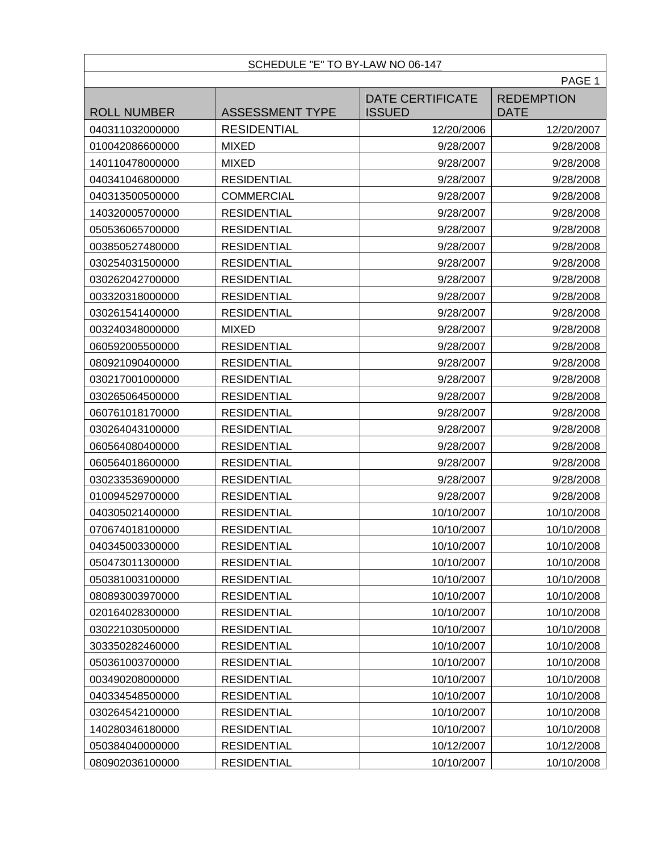### SCHEDULE "E" TO BY-LAW NO 06-147

|                    | PAGE 1                 |                                          |                                  |
|--------------------|------------------------|------------------------------------------|----------------------------------|
| <b>ROLL NUMBER</b> | <b>ASSESSMENT TYPE</b> | <b>DATE CERTIFICATE</b><br><b>ISSUED</b> | <b>REDEMPTION</b><br><b>DATE</b> |
| 040311032000000    | <b>RESIDENTIAL</b>     | 12/20/2006                               | 12/20/2007                       |
| 010042086600000    | <b>MIXED</b>           | 9/28/2007                                | 9/28/2008                        |
| 140110478000000    | <b>MIXED</b>           | 9/28/2007                                | 9/28/2008                        |
| 040341046800000    | <b>RESIDENTIAL</b>     | 9/28/2007                                | 9/28/2008                        |
| 040313500500000    | <b>COMMERCIAL</b>      | 9/28/2007                                | 9/28/2008                        |
| 140320005700000    | <b>RESIDENTIAL</b>     | 9/28/2007                                | 9/28/2008                        |
| 050536065700000    | <b>RESIDENTIAL</b>     | 9/28/2007                                | 9/28/2008                        |
| 003850527480000    | <b>RESIDENTIAL</b>     | 9/28/2007                                | 9/28/2008                        |
| 030254031500000    | <b>RESIDENTIAL</b>     | 9/28/2007                                | 9/28/2008                        |
| 030262042700000    | <b>RESIDENTIAL</b>     | 9/28/2007                                | 9/28/2008                        |
| 003320318000000    | <b>RESIDENTIAL</b>     | 9/28/2007                                | 9/28/2008                        |
| 030261541400000    | <b>RESIDENTIAL</b>     | 9/28/2007                                | 9/28/2008                        |
| 003240348000000    | <b>MIXED</b>           | 9/28/2007                                | 9/28/2008                        |
| 060592005500000    | <b>RESIDENTIAL</b>     | 9/28/2007                                | 9/28/2008                        |
| 080921090400000    | <b>RESIDENTIAL</b>     | 9/28/2007                                | 9/28/2008                        |
| 030217001000000    | <b>RESIDENTIAL</b>     | 9/28/2007                                | 9/28/2008                        |
| 030265064500000    | <b>RESIDENTIAL</b>     | 9/28/2007                                | 9/28/2008                        |
| 060761018170000    | <b>RESIDENTIAL</b>     | 9/28/2007                                | 9/28/2008                        |
| 030264043100000    | <b>RESIDENTIAL</b>     | 9/28/2007                                | 9/28/2008                        |
| 060564080400000    | <b>RESIDENTIAL</b>     | 9/28/2007                                | 9/28/2008                        |
| 060564018600000    | <b>RESIDENTIAL</b>     | 9/28/2007                                | 9/28/2008                        |
| 030233536900000    | <b>RESIDENTIAL</b>     | 9/28/2007                                | 9/28/2008                        |
| 010094529700000    | <b>RESIDENTIAL</b>     | 9/28/2007                                | 9/28/2008                        |
| 040305021400000    | <b>RESIDENTIAL</b>     | 10/10/2007                               | 10/10/2008                       |
| 070674018100000    | <b>RESIDENTIAL</b>     | 10/10/2007                               | 10/10/2008                       |
| 040345003300000    | <b>RESIDENTIAL</b>     | 10/10/2007                               | 10/10/2008                       |
| 050473011300000    | <b>RESIDENTIAL</b>     | 10/10/2007                               | 10/10/2008                       |
| 050381003100000    | <b>RESIDENTIAL</b>     | 10/10/2007                               | 10/10/2008                       |
| 080893003970000    | <b>RESIDENTIAL</b>     | 10/10/2007                               | 10/10/2008                       |
| 020164028300000    | <b>RESIDENTIAL</b>     | 10/10/2007                               | 10/10/2008                       |
| 030221030500000    | <b>RESIDENTIAL</b>     | 10/10/2007                               | 10/10/2008                       |
| 303350282460000    | <b>RESIDENTIAL</b>     | 10/10/2007                               | 10/10/2008                       |
| 050361003700000    | <b>RESIDENTIAL</b>     | 10/10/2007                               | 10/10/2008                       |
| 003490208000000    | <b>RESIDENTIAL</b>     | 10/10/2007                               | 10/10/2008                       |
| 040334548500000    | <b>RESIDENTIAL</b>     | 10/10/2007                               | 10/10/2008                       |
| 030264542100000    | <b>RESIDENTIAL</b>     | 10/10/2007                               | 10/10/2008                       |
| 140280346180000    | <b>RESIDENTIAL</b>     | 10/10/2007                               | 10/10/2008                       |
| 050384040000000    | <b>RESIDENTIAL</b>     | 10/12/2007                               | 10/12/2008                       |
| 080902036100000    | <b>RESIDENTIAL</b>     | 10/10/2007                               | 10/10/2008                       |